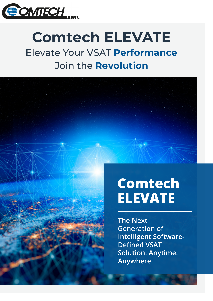

# **Comtech ELEVATE** Elevate Your VSAT **Performance** Join the **Revolution**

# **The Next-Generation of Intelligent Software-Defined VSAT Solution. Anytime. Anywhere. Comtech ELEVATE**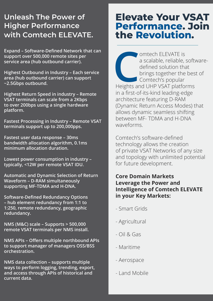# **Unleash The Power of Higher Performance with Comtech ELEVATE.**

**Expand – Software-Defined Network that can support over 500,000 remote sites per service area (hub outbound carrier).**

**Highest Outbound in Industry – Each service area (hub outbound carrier) can support ~2.5Gbps outbound.**

**Highest Return Speed in industry – Remote VSAT terminals can scale from a 2Kbps to over 200bps using a single hardware platform.**

**Fastest Processing in Industry – Remote VSAT terminals support up to 200,000pps.**

**Fastest user data response – 30ms bandwidth allocation algorithm, 0.1ms minimum allocation duration.**

**Lowest power consumption in industry – typically, <12W per remote VSAT IDU.**

**Automatic and Dynamic Selection of Return Waveform – D-RAM simultaneously supporting MF-TDMA and H-DNA.**

**Software-Defined Redundancy Options – hub element redundancy from 1:1 to 1:250, remote redundancy, geographic redundancy.**

**NMS (M&C) scale – Supports > 500,000 remote VSAT terminals per NMS install.** 

**NMS APIs – Offers multiple northbound APIs to support manager of managers OSS/BSS orchestration.**

**NMS data collection – supports multiple ways to perform logging, trending, export, and access through APIs of historical and current data.**

# **Elevate Your VSAT Performance. Join the Revolution.**

Omtech ELEVATE is<br>
a scalable, reliable, soft<br>
defined solution that<br>
brings together the bes<br>
Comtech's popular<br>
Heights and UHP VSAT platforms a scalable, reliable, softwaredefined solution that brings together the best of Comtech's popular in a first-of-its-kind leading-edge architecture featuring D-RAM (Dynamic Return Access Modes) that allows dynamic seamless shifting between MF- TDMA and H-DNA waveforms.

Comtech's software-defined technology allows the creation of private VSAT Networks of any size and topology with unlimited potential for future development.

#### **Core Domain Markets Leverage the Power and Intelligence of Comtech ELEVATE in your Key Markets:**

- Smart Grids
- Agricultural
- Oil & Gas
- Maritime
- Aerospace
- Land Mobile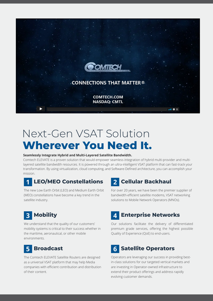

# Next-Gen VSAT Solution **Wherever You Need It.**

#### **Seamlessly Integrate Hybrid and Multi-Layered Satellite Bandwidth.**

Comtech ELEVATE is a proven solution that would empower seamless integration of hybrid multi-provider and multilayered satellite bandwidth resources. It is powered through an ultra-intelligent VSAT platform that can fast-track your transformation. By using virtualization, cloud computing, and Software-Defined architecture, you can accomplish your mission.

## **1** LEO/MEO Constellations 2 Cellular Backhaul

The new Low Earth Orbit (LEO) and Medium Earth Orbit (MEO) constellations have become a key trend in the satellite industry.

# **Mobility**

We understand that the quality of our customers' mobility systems is critical to their success whether in the maritime, aeronautical, or other mobile environments.

#### **Broadcast 5**

The Comtech ELEVATE Satellite Routers are designed as a universal VSAT platform that may help Media companies with efficient contribution and distribution of their content.

For over 20 years, we have been the premier supplier of bandwidth-efficient satellite modems, VSAT networking solutions to Mobile Network Operators (MNOs).

## **Enterprise Networks**

Our solutions facilitate the delivery of differentiated premium grade services, offering the highest possible Quality of Experience (QoE) to end-users.

#### **Satellite Operators 6**

Operators are leveraging our success in providing bestin-class solutions for our targeted vertical markets and are investing in Operator-owned infrastructure to extend their product offerings and address rapidly evolving customer demands.